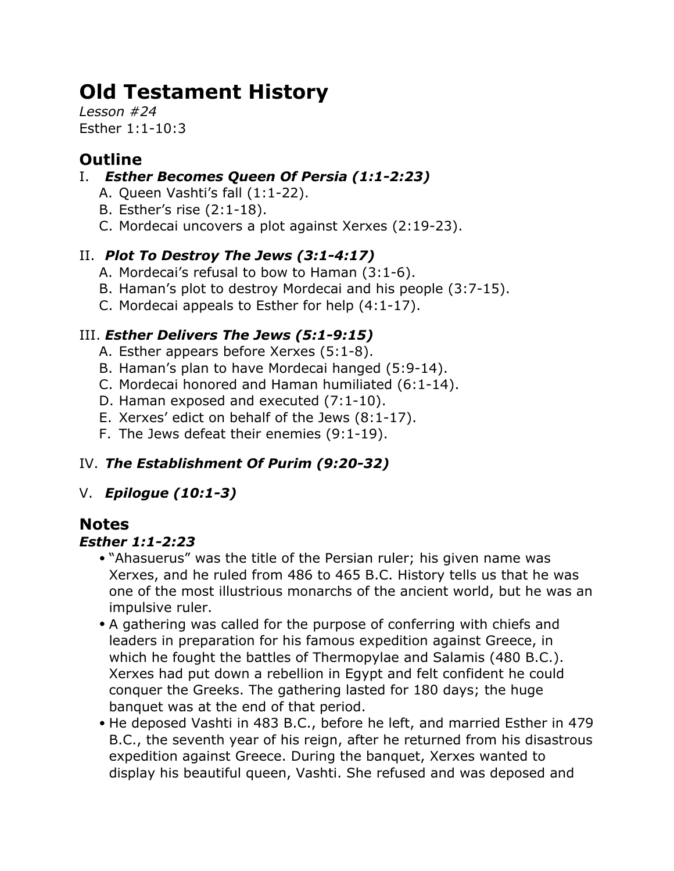# **Old Testament History**

*Lesson #24* Esther 1:1-10:3

# **Outline**

- I. *Esther Becomes Queen Of Persia (1:1-2:23)*
	- A. Queen Vashti's fall (1:1-22).
	- B. Esther's rise (2:1-18).
	- C. Mordecai uncovers a plot against Xerxes (2:19-23).

## II. *Plot To Destroy The Jews (3:1-4:17)*

- A. Mordecai's refusal to bow to Haman (3:1-6).
- B. Haman's plot to destroy Mordecai and his people (3:7-15).
- C. Mordecai appeals to Esther for help (4:1-17).

## III. *Esther Delivers The Jews (5:1-9:15)*

- A. Esther appears before Xerxes (5:1-8).
- B. Haman's plan to have Mordecai hanged (5:9-14).
- C. Mordecai honored and Haman humiliated (6:1-14).
- D. Haman exposed and executed (7:1-10).
- E. Xerxes' edict on behalf of the Jews (8:1-17).
- F. The Jews defeat their enemies (9:1-19).

# IV. *The Establishment Of Purim (9:20-32)*

## V. *Epilogue (10:1-3)*

# **Notes**

## *Esther 1:1-2:23*

- "Ahasuerus" was the title of the Persian ruler; his given name was Xerxes, and he ruled from 486 to 465 B.C. History tells us that he was one of the most illustrious monarchs of the ancient world, but he was an impulsive ruler.
- A gathering was called for the purpose of conferring with chiefs and leaders in preparation for his famous expedition against Greece, in which he fought the battles of Thermopylae and Salamis (480 B.C.). Xerxes had put down a rebellion in Egypt and felt confident he could conquer the Greeks. The gathering lasted for 180 days; the huge banquet was at the end of that period.
- He deposed Vashti in 483 B.C., before he left, and married Esther in 479 B.C., the seventh year of his reign, after he returned from his disastrous expedition against Greece. During the banquet, Xerxes wanted to display his beautiful queen, Vashti. She refused and was deposed and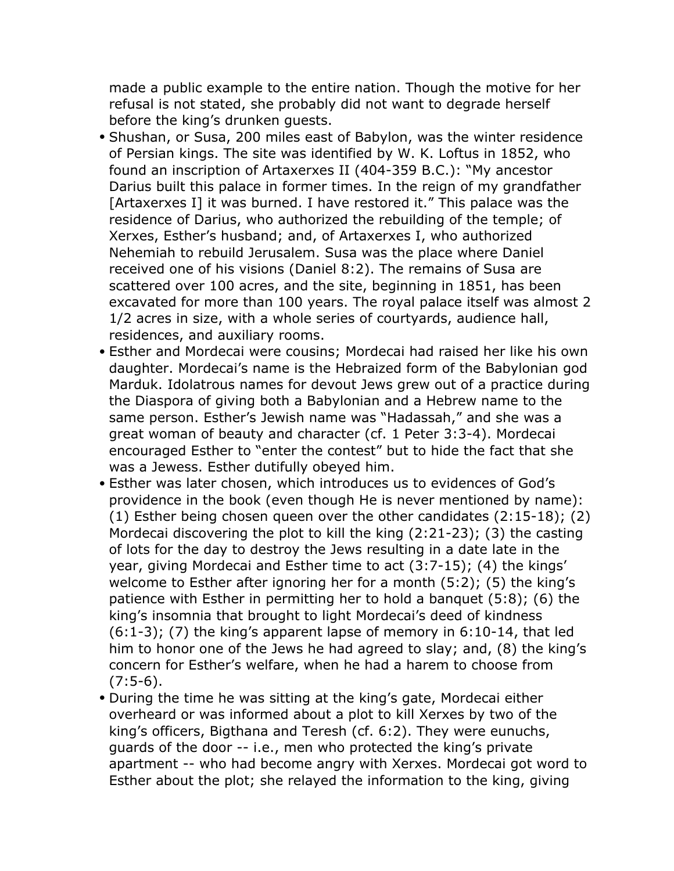made a public example to the entire nation. Though the motive for her refusal is not stated, she probably did not want to degrade herself before the king's drunken guests.

- Shushan, or Susa, 200 miles east of Babylon, was the winter residence of Persian kings. The site was identified by W. K. Loftus in 1852, who found an inscription of Artaxerxes II (404-359 B.C.): "My ancestor Darius built this palace in former times. In the reign of my grandfather [Artaxerxes I] it was burned. I have restored it." This palace was the residence of Darius, who authorized the rebuilding of the temple; of Xerxes, Esther's husband; and, of Artaxerxes I, who authorized Nehemiah to rebuild Jerusalem. Susa was the place where Daniel received one of his visions (Daniel 8:2). The remains of Susa are scattered over 100 acres, and the site, beginning in 1851, has been excavated for more than 100 years. The royal palace itself was almost 2 1/2 acres in size, with a whole series of courtyards, audience hall, residences, and auxiliary rooms.
- Esther and Mordecai were cousins; Mordecai had raised her like his own daughter. Mordecai's name is the Hebraized form of the Babylonian god Marduk. Idolatrous names for devout Jews grew out of a practice during the Diaspora of giving both a Babylonian and a Hebrew name to the same person. Esther's Jewish name was "Hadassah," and she was a great woman of beauty and character (cf. 1 Peter 3:3-4). Mordecai encouraged Esther to "enter the contest" but to hide the fact that she was a Jewess. Esther dutifully obeyed him.
- Esther was later chosen, which introduces us to evidences of God's providence in the book (even though He is never mentioned by name): (1) Esther being chosen queen over the other candidates (2:15-18); (2) Mordecai discovering the plot to kill the king (2:21-23); (3) the casting of lots for the day to destroy the Jews resulting in a date late in the year, giving Mordecai and Esther time to act (3:7-15); (4) the kings' welcome to Esther after ignoring her for a month (5:2); (5) the king's patience with Esther in permitting her to hold a banquet (5:8); (6) the king's insomnia that brought to light Mordecai's deed of kindness  $(6:1-3)$ ; (7) the king's apparent lapse of memory in  $6:10-14$ , that led him to honor one of the Jews he had agreed to slay; and, (8) the king's concern for Esther's welfare, when he had a harem to choose from  $(7:5-6)$ .
- During the time he was sitting at the king's gate, Mordecai either overheard or was informed about a plot to kill Xerxes by two of the king's officers, Bigthana and Teresh (cf. 6:2). They were eunuchs, guards of the door -- i.e., men who protected the king's private apartment -- who had become angry with Xerxes. Mordecai got word to Esther about the plot; she relayed the information to the king, giving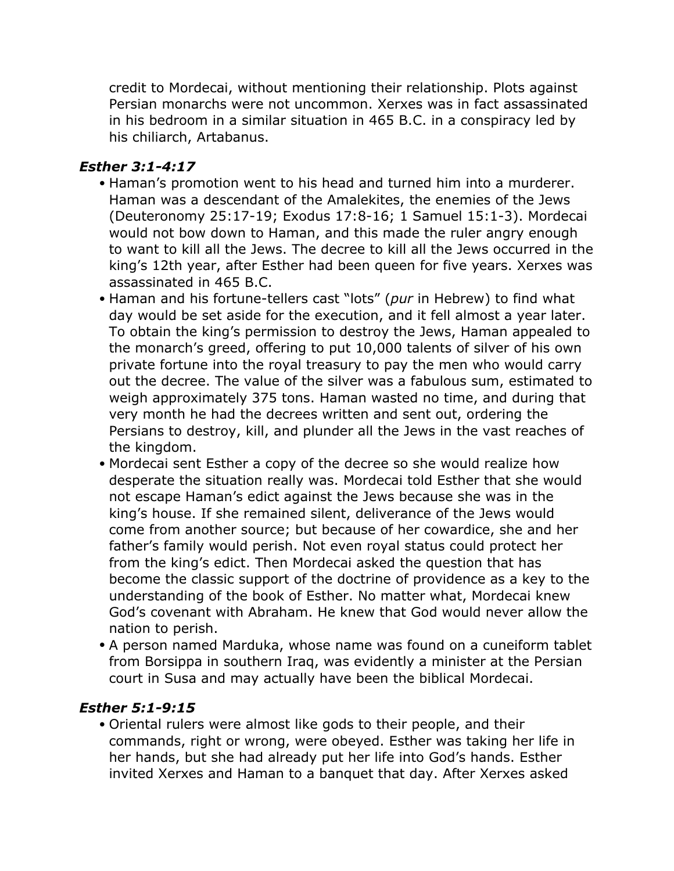credit to Mordecai, without mentioning their relationship. Plots against Persian monarchs were not uncommon. Xerxes was in fact assassinated in his bedroom in a similar situation in 465 B.C. in a conspiracy led by his chiliarch, Artabanus.

#### *Esther 3:1-4:17*

- Haman's promotion went to his head and turned him into a murderer. Haman was a descendant of the Amalekites, the enemies of the Jews (Deuteronomy 25:17-19; Exodus 17:8-16; 1 Samuel 15:1-3). Mordecai would not bow down to Haman, and this made the ruler angry enough to want to kill all the Jews. The decree to kill all the Jews occurred in the king's 12th year, after Esther had been queen for five years. Xerxes was assassinated in 465 B.C.
- Haman and his fortune-tellers cast "lots" (*pur* in Hebrew) to find what day would be set aside for the execution, and it fell almost a year later. To obtain the king's permission to destroy the Jews, Haman appealed to the monarch's greed, offering to put 10,000 talents of silver of his own private fortune into the royal treasury to pay the men who would carry out the decree. The value of the silver was a fabulous sum, estimated to weigh approximately 375 tons. Haman wasted no time, and during that very month he had the decrees written and sent out, ordering the Persians to destroy, kill, and plunder all the Jews in the vast reaches of the kingdom.
- Mordecai sent Esther a copy of the decree so she would realize how desperate the situation really was. Mordecai told Esther that she would not escape Haman's edict against the Jews because she was in the king's house. If she remained silent, deliverance of the Jews would come from another source; but because of her cowardice, she and her father's family would perish. Not even royal status could protect her from the king's edict. Then Mordecai asked the question that has become the classic support of the doctrine of providence as a key to the understanding of the book of Esther. No matter what, Mordecai knew God's covenant with Abraham. He knew that God would never allow the nation to perish.
- A person named Marduka, whose name was found on a cuneiform tablet from Borsippa in southern Iraq, was evidently a minister at the Persian court in Susa and may actually have been the biblical Mordecai.

#### *Esther 5:1-9:15*

• Oriental rulers were almost like gods to their people, and their commands, right or wrong, were obeyed. Esther was taking her life in her hands, but she had already put her life into God's hands. Esther invited Xerxes and Haman to a banquet that day. After Xerxes asked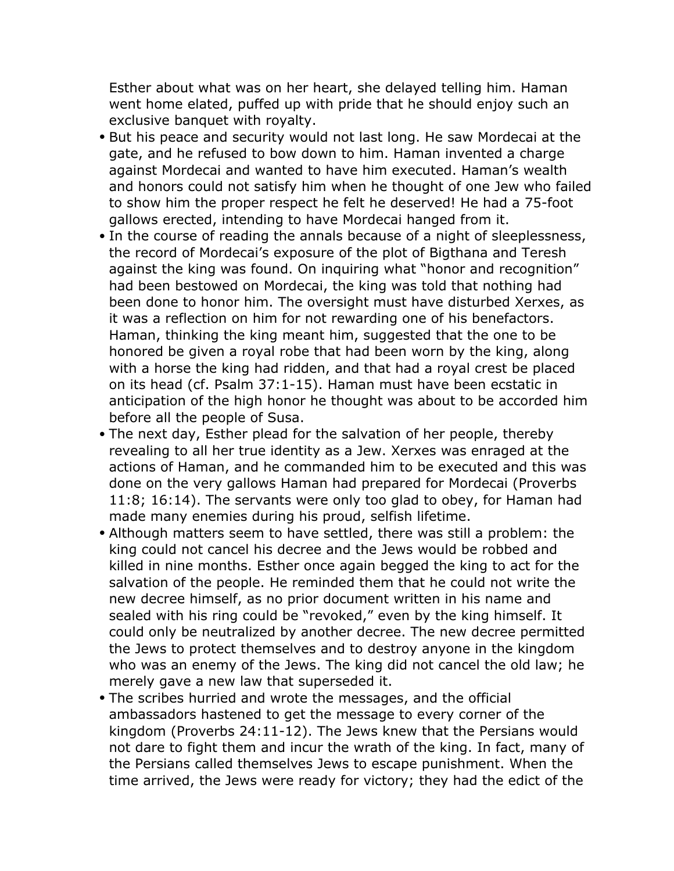Esther about what was on her heart, she delayed telling him. Haman went home elated, puffed up with pride that he should enjoy such an exclusive banquet with royalty.

- But his peace and security would not last long. He saw Mordecai at the gate, and he refused to bow down to him. Haman invented a charge against Mordecai and wanted to have him executed. Haman's wealth and honors could not satisfy him when he thought of one Jew who failed to show him the proper respect he felt he deserved! He had a 75-foot gallows erected, intending to have Mordecai hanged from it.
- In the course of reading the annals because of a night of sleeplessness, the record of Mordecai's exposure of the plot of Bigthana and Teresh against the king was found. On inquiring what "honor and recognition" had been bestowed on Mordecai, the king was told that nothing had been done to honor him. The oversight must have disturbed Xerxes, as it was a reflection on him for not rewarding one of his benefactors. Haman, thinking the king meant him, suggested that the one to be honored be given a royal robe that had been worn by the king, along with a horse the king had ridden, and that had a royal crest be placed on its head (cf. Psalm 37:1-15). Haman must have been ecstatic in anticipation of the high honor he thought was about to be accorded him before all the people of Susa.
- The next day, Esther plead for the salvation of her people, thereby revealing to all her true identity as a Jew. Xerxes was enraged at the actions of Haman, and he commanded him to be executed and this was done on the very gallows Haman had prepared for Mordecai (Proverbs 11:8; 16:14). The servants were only too glad to obey, for Haman had made many enemies during his proud, selfish lifetime.
- Although matters seem to have settled, there was still a problem: the king could not cancel his decree and the Jews would be robbed and killed in nine months. Esther once again begged the king to act for the salvation of the people. He reminded them that he could not write the new decree himself, as no prior document written in his name and sealed with his ring could be "revoked," even by the king himself. It could only be neutralized by another decree. The new decree permitted the Jews to protect themselves and to destroy anyone in the kingdom who was an enemy of the Jews. The king did not cancel the old law; he merely gave a new law that superseded it.
- The scribes hurried and wrote the messages, and the official ambassadors hastened to get the message to every corner of the kingdom (Proverbs 24:11-12). The Jews knew that the Persians would not dare to fight them and incur the wrath of the king. In fact, many of the Persians called themselves Jews to escape punishment. When the time arrived, the Jews were ready for victory; they had the edict of the